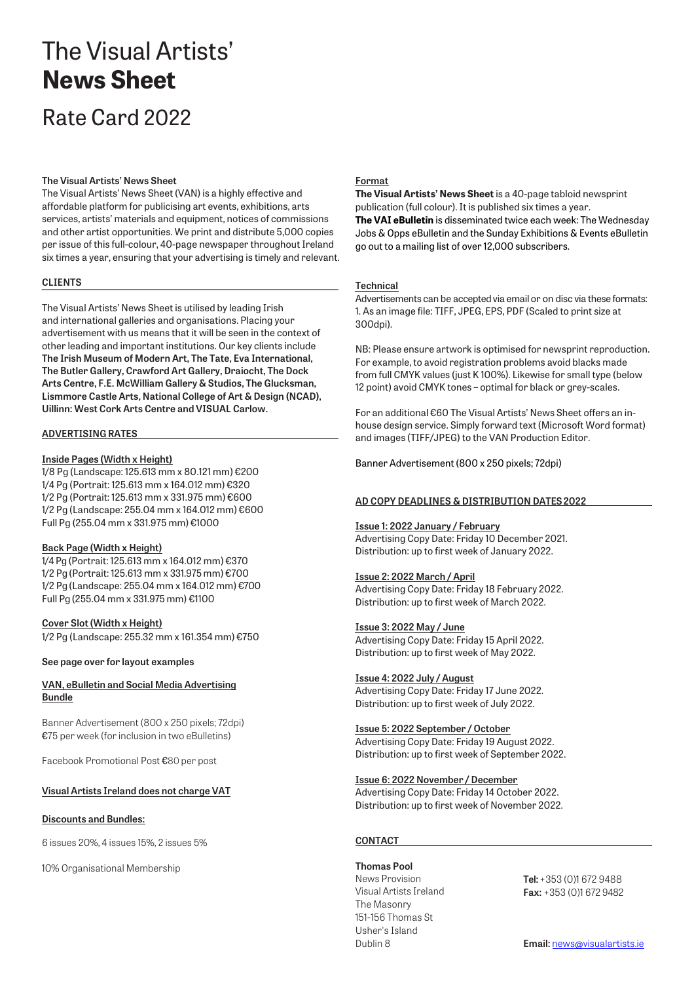# The Visual Artists' **News Sheet**

# Rate Card 2022

#### **The Visual Artists' News Sheet**

The Visual Artists' News Sheet (VAN) is a highly effective and affordable platform for publicising art events, exhibitions, arts services, artists' materials and equipment, notices of commissions and other artist opportunities. We print and distribute 5,000 copies per issue of this full-colour, 40-page newspaper throughout Ireland six times a year, ensuring that your advertising is timely and relevant.

#### **CLIENTS**

The Visual Artists' News Sheet is utilised by leading Irish and international galleries and organisations. Placing your advertisement with us means that it will be seen in the context of other leading and important institutions. Our key clients include **The Irish Museum of Modern Art, The Tate, Eva International, The Butler Gallery, Crawford Art Gallery, Draiocht, The Dock Arts Centre, F.E. McWilliam Gallery & Studios, The Glucksman, Lismmore Castle Arts, National College of Art & Design (NCAD), Uillinn: West Cork Arts Centre and VISUAL Carlow.**

#### **ADVERTISINGRATES**

#### **Inside Pages (Width x Height)**

1/8 Pg (Landscape: 125.613 mm x 80.121 mm) €200 1/4 Pg (Portrait: 125.613 mm x 164.012 mm) €320 1/2 Pg (Portrait: 125.613 mm x 331.975 mm) €600 1/2 Pg (Landscape: 255.04 mm x 164.012 mm) €600 Full Pg (255.04 mm x 331.975 mm) €1000

#### **Back Page (Width x Height)**

1/4 Pg (Portrait: 125.613 mm x 164.012 mm) €370 1/2 Pg (Portrait: 125.613 mm x 331.975 mm) €700 1/2 Pg (Landscape: 255.04 mm x 164.012 mm) €700 Full Pg (255.04 mm x 331.975 mm) €1100

#### **Cover Slot (Width x Height)**

1/2 Pg (Landscape: 255.32 mm x 161.354 mm) €750

#### **See page over for layout examples**

#### **VAN, eBulletin and Social Media Advertising Bundle**

Banner Advertisement (800 x 250 pixels; 72dpi) €75 per week (for inclusion in two eBulletins)

Facebook Promotional Post €80 per post

#### **Visual Artists Ireland does not charge VAT**

#### **Discounts and Bundles:**

6 issues 20%, 4 issues 15%, 2 issues 5%

10% Organisational Membership

#### **Format**

**The Visual Artists' News Sheet** is a 40-page tabloid newsprint publication (full colour). It is published six times a year. **The VAI eBulletin** is disseminated twice each week: The Wednesday Jobs & Opps eBulletin and the Sunday Exhibitions & Events eBulletin go out to a mailing list of over 12,000 subscribers.

#### **Technical**

Advertisements can be accepted via email or on disc via these formats: 1. As an image file: TIFF, JPEG, EPS, PDF (Scaled to print size at 300dpi).

NB: Please ensure artwork is optimised for newsprint reproduction. For example, to avoid registration problems avoid blacks made from full CMYK values (just K 100%). Likewise for small type (below 12 point) avoid CMYK tones – optimal for black or grey-scales.

For an additional €60 The Visual Artists' News Sheet offers an inhouse design service. Simply forward text (Microsoft Word format) and images (TIFF/JPEG) to the VAN Production Editor.

Banner Advertisement (800 x 250 pixels; 72dpi)

#### **AD COPY DEADLINES & DISTRIBUTION DATES2022**

#### **Issue 1: 2022 January / February**

Advertising Copy Date: Friday 10 December 2021. Distribution: up to first week of January 2022.

#### **Issue 2: 2022 March / April**

Advertising Copy Date: Friday 18 February 2022. Distribution: up to first week of March 2022.

#### **Issue 3: 2022 May / June**

Advertising Copy Date: Friday 15 April 2022. Distribution: up to first week of May 2022.

#### **Issue 4: 2022 July / August**

Advertising Copy Date: Friday 17 June 2022. Distribution: up to first week of July 2022.

#### **Issue 5: 2022 September / October**

Advertising Copy Date: Friday 19 August 2022. Distribution: up to first week of September 2022.

#### **Issue 6: 2022 November / December**

Advertising Copy Date: Friday 14 October 2022. Distribution: up to first week of November 2022.

#### **CONTACT**

**Thomas Pool** News Provision Visual Artists Ireland The Masonry 151-156 Thomas St Usher's Island

**Tel:** +353 (0)1 672 9488 **Fax:** +353 (0)1 672 9482